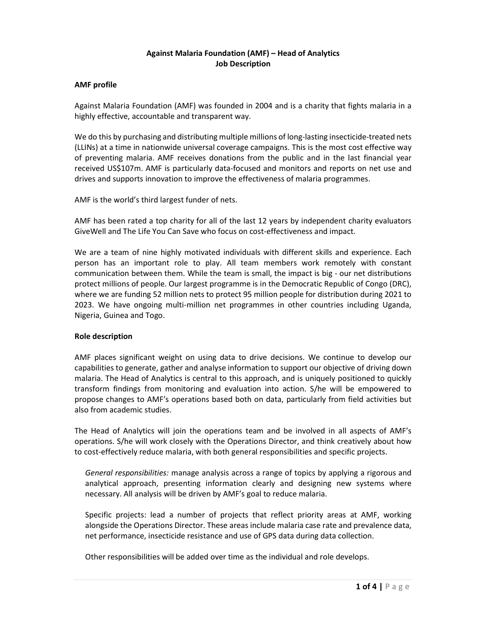## Against Malaria Foundation (AMF) – Head of Analytics Job Description

#### AMF profile

Against Malaria Foundation (AMF) was founded in 2004 and is a charity that fights malaria in a highly effective, accountable and transparent way.

We do this by purchasing and distributing multiple millions of long-lasting insecticide-treated nets (LLINs) at a time in nationwide universal coverage campaigns. This is the most cost effective way of preventing malaria. AMF receives donations from the public and in the last financial year received US\$107m. AMF is particularly data-focused and monitors and reports on net use and drives and supports innovation to improve the effectiveness of malaria programmes.

AMF is the world's third largest funder of nets.

AMF has been rated a top charity for all of the last 12 years by independent charity evaluators GiveWell and The Life You Can Save who focus on cost-effectiveness and impact.

We are a team of nine highly motivated individuals with different skills and experience. Each person has an important role to play. All team members work remotely with constant communication between them. While the team is small, the impact is big - our net distributions protect millions of people. Our largest programme is in the Democratic Republic of Congo (DRC), where we are funding 52 million nets to protect 95 million people for distribution during 2021 to 2023. We have ongoing multi-million net programmes in other countries including Uganda, Nigeria, Guinea and Togo.

## Role description

AMF places significant weight on using data to drive decisions. We continue to develop our capabilities to generate, gather and analyse information to support our objective of driving down malaria. The Head of Analytics is central to this approach, and is uniquely positioned to quickly transform findings from monitoring and evaluation into action. S/he will be empowered to propose changes to AMF's operations based both on data, particularly from field activities but also from academic studies.

The Head of Analytics will join the operations team and be involved in all aspects of AMF's operations. S/he will work closely with the Operations Director, and think creatively about how to cost-effectively reduce malaria, with both general responsibilities and specific projects.

General responsibilities: manage analysis across a range of topics by applying a rigorous and analytical approach, presenting information clearly and designing new systems where necessary. All analysis will be driven by AMF's goal to reduce malaria.

Specific projects: lead a number of projects that reflect priority areas at AMF, working alongside the Operations Director. These areas include malaria case rate and prevalence data, net performance, insecticide resistance and use of GPS data during data collection.

Other responsibilities will be added over time as the individual and role develops.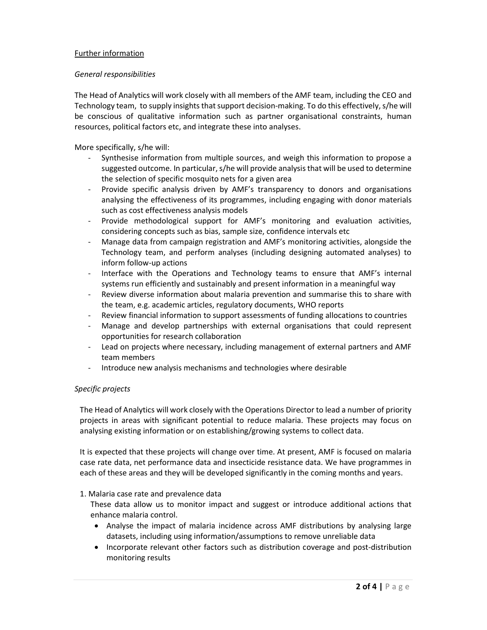## Further information

#### General responsibilities

The Head of Analytics will work closely with all members of the AMF team, including the CEO and Technology team, to supply insights that support decision-making. To do this effectively, s/he will be conscious of qualitative information such as partner organisational constraints, human resources, political factors etc, and integrate these into analyses.

More specifically, s/he will:

- Synthesise information from multiple sources, and weigh this information to propose a suggested outcome. In particular, s/he will provide analysis that will be used to determine the selection of specific mosquito nets for a given area
- Provide specific analysis driven by AMF's transparency to donors and organisations analysing the effectiveness of its programmes, including engaging with donor materials such as cost effectiveness analysis models
- Provide methodological support for AMF's monitoring and evaluation activities, considering concepts such as bias, sample size, confidence intervals etc
- Manage data from campaign registration and AMF's monitoring activities, alongside the Technology team, and perform analyses (including designing automated analyses) to inform follow-up actions
- Interface with the Operations and Technology teams to ensure that AMF's internal systems run efficiently and sustainably and present information in a meaningful way
- Review diverse information about malaria prevention and summarise this to share with the team, e.g. academic articles, regulatory documents, WHO reports
- Review financial information to support assessments of funding allocations to countries
- Manage and develop partnerships with external organisations that could represent opportunities for research collaboration
- Lead on projects where necessary, including management of external partners and AMF team members
- Introduce new analysis mechanisms and technologies where desirable

## Specific projects

The Head of Analytics will work closely with the Operations Director to lead a number of priority projects in areas with significant potential to reduce malaria. These projects may focus on analysing existing information or on establishing/growing systems to collect data.

It is expected that these projects will change over time. At present, AMF is focused on malaria case rate data, net performance data and insecticide resistance data. We have programmes in each of these areas and they will be developed significantly in the coming months and years.

#### 1. Malaria case rate and prevalence data

These data allow us to monitor impact and suggest or introduce additional actions that enhance malaria control.

- Analyse the impact of malaria incidence across AMF distributions by analysing large datasets, including using information/assumptions to remove unreliable data
- Incorporate relevant other factors such as distribution coverage and post-distribution monitoring results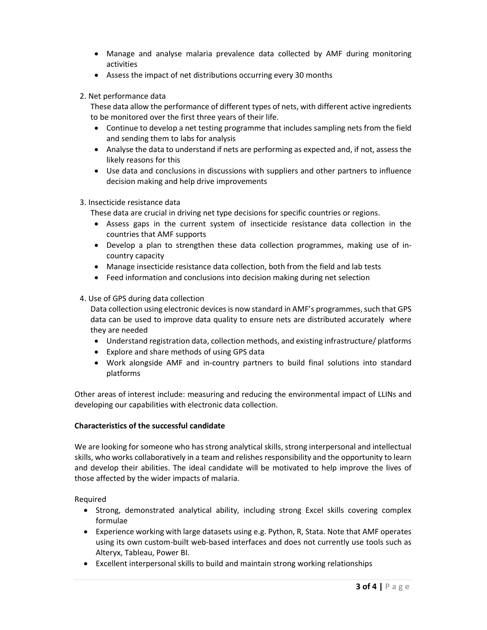- Manage and analyse malaria prevalence data collected by AMF during monitoring activities
- Assess the impact of net distributions occurring every 30 months

## 2. Net performance data

These data allow the performance of different types of nets, with different active ingredients to be monitored over the first three years of their life.

- Continue to develop a net testing programme that includes sampling nets from the field and sending them to labs for analysis
- Analyse the data to understand if nets are performing as expected and, if not, assess the likely reasons for this
- Use data and conclusions in discussions with suppliers and other partners to influence decision making and help drive improvements

## 3. Insecticide resistance data

These data are crucial in driving net type decisions for specific countries or regions.

- Assess gaps in the current system of insecticide resistance data collection in the countries that AMF supports
- Develop a plan to strengthen these data collection programmes, making use of incountry capacity
- Manage insecticide resistance data collection, both from the field and lab tests
- Feed information and conclusions into decision making during net selection

## 4. Use of GPS during data collection

Data collection using electronic devices is now standard in AMF's programmes, such that GPS data can be used to improve data quality to ensure nets are distributed accurately where they are needed

- Understand registration data, collection methods, and existing infrastructure/ platforms
- Explore and share methods of using GPS data
- Work alongside AMF and in-country partners to build final solutions into standard platforms

Other areas of interest include: measuring and reducing the environmental impact of LLINs and developing our capabilities with electronic data collection.

## Characteristics of the successful candidate

We are looking for someone who has strong analytical skills, strong interpersonal and intellectual skills, who works collaboratively in a team and relishes responsibility and the opportunity to learn and develop their abilities. The ideal candidate will be motivated to help improve the lives of those affected by the wider impacts of malaria.

Required

- Strong, demonstrated analytical ability, including strong Excel skills covering complex formulae
- Experience working with large datasets using e.g. Python, R, Stata. Note that AMF operates using its own custom-built web-based interfaces and does not currently use tools such as Alteryx, Tableau, Power BI.
- Excellent interpersonal skills to build and maintain strong working relationships